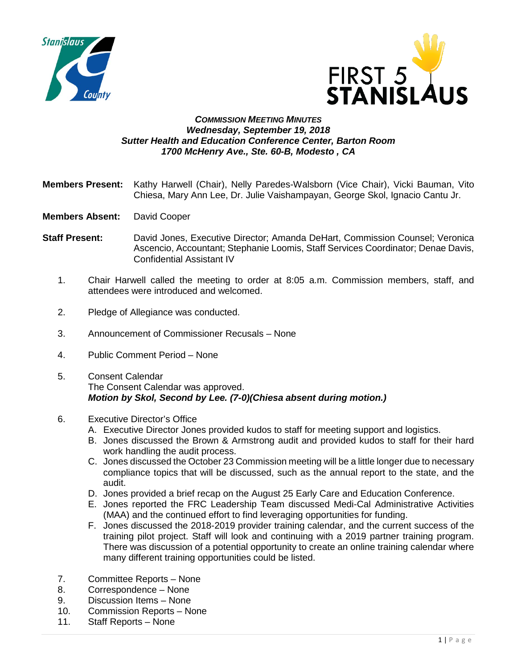



## *COMMISSION MEETING MINUTES Wednesday, September 19, 2018 Sutter Health and Education Conference Center, Barton Room 1700 McHenry Ave., Ste. 60-B, Modesto , CA*

- **Members Present:** Kathy Harwell (Chair), Nelly Paredes-Walsborn (Vice Chair), Vicki Bauman, Vito Chiesa, Mary Ann Lee, Dr. Julie Vaishampayan, George Skol, Ignacio Cantu Jr.
- **Members Absent:** David Cooper
- **Staff Present:** David Jones, Executive Director; Amanda DeHart, Commission Counsel; Veronica Ascencio, Accountant; Stephanie Loomis, Staff Services Coordinator; Denae Davis, Confidential Assistant IV
	- 1. Chair Harwell called the meeting to order at 8:05 a.m. Commission members, staff, and attendees were introduced and welcomed.
	- 2. Pledge of Allegiance was conducted.
	- 3. Announcement of Commissioner Recusals None
	- 4. Public Comment Period None
	- 5. Consent Calendar The Consent Calendar was approved. *Motion by Skol, Second by Lee. (7-0)(Chiesa absent during motion.)*
	- 6. Executive Director's Office
		- A. Executive Director Jones provided kudos to staff for meeting support and logistics.
		- B. Jones discussed the Brown & Armstrong audit and provided kudos to staff for their hard work handling the audit process.
		- C. Jones discussed the October 23 Commission meeting will be a little longer due to necessary compliance topics that will be discussed, such as the annual report to the state, and the audit.
		- D. Jones provided a brief recap on the August 25 Early Care and Education Conference.
		- E. Jones reported the FRC Leadership Team discussed Medi-Cal Administrative Activities (MAA) and the continued effort to find leveraging opportunities for funding.
		- F. Jones discussed the 2018-2019 provider training calendar, and the current success of the training pilot project. Staff will look and continuing with a 2019 partner training program. There was discussion of a potential opportunity to create an online training calendar where many different training opportunities could be listed.
	- 7. Committee Reports None
	- 8. Correspondence None
	- 9. Discussion Items None
	- 10. Commission Reports None
	- 11. Staff Reports None